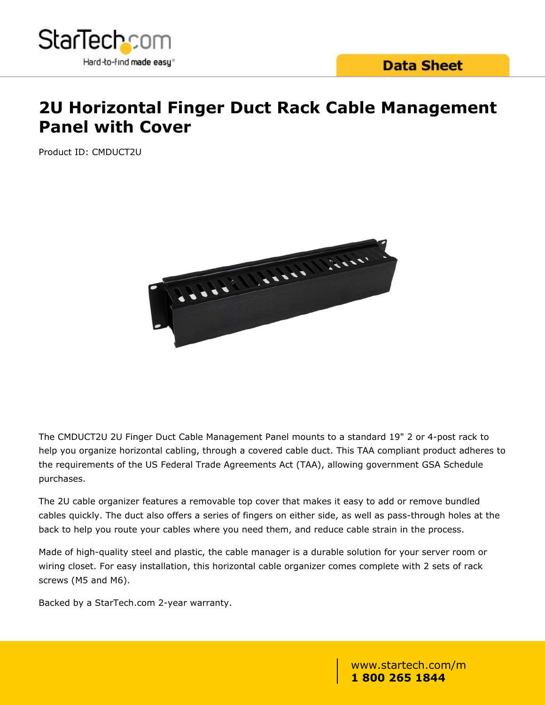

### **Data Sheet**

# **2U Horizontal Finger Duct Rack Cable Management Panel with Cover**

Product ID: CMDUCT2U



The CMDUCT2U 2U Finger Duct Cable Management Panel mounts to a standard 19" 2 or 4-post rack to help you organize horizontal cabling, through a covered cable duct. This TAA compliant product adheres to the requirements of the US Federal Trade Agreements Act (TAA), allowing government GSA Schedule purchases.

The 2U cable organizer features a removable top cover that makes it easy to add or remove bundled cables quickly. The duct also offers a series of fingers on either side, as well as pass-through holes at the back to help you route your cables where you need them, and reduce cable strain in the process.

Made of high-quality steel and plastic, the cable manager is a durable solution for your server room or wiring closet. For easy installation, this horizontal cable organizer comes complete with 2 sets of rack screws (M5 and M6).

Backed by a StarTech.com 2-year warranty.

www.startech.com/m **1 800 265 1844**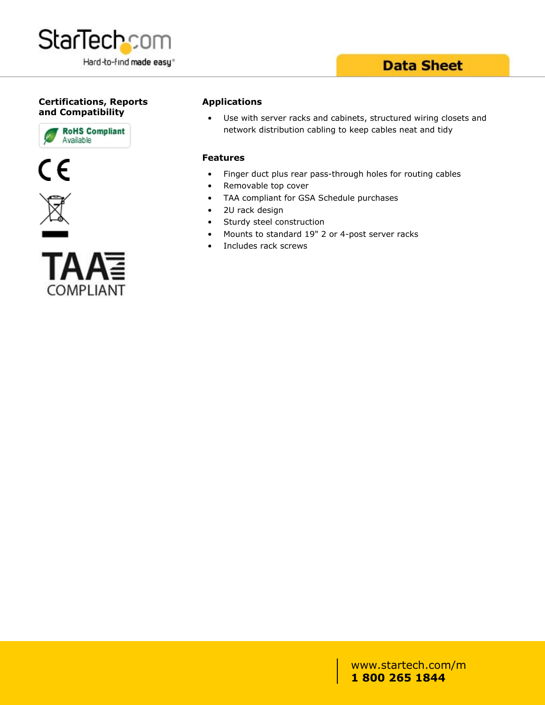

## **Data Sheet**

### **Certifications, Reports and Compatibility**







#### **Applications**

Use with server racks and cabinets, structured wiring closets and network distribution cabling to keep cables neat and tidy

#### **Features**

- Finger duct plus rear pass-through holes for routing cables
- Removable top cover
- TAA compliant for GSA Schedule purchases
- 2U rack design
- Sturdy steel construction
- Mounts to standard 19" 2 or 4-post server racks
- Includes rack screws

### www.startech.com/m **1 800 265 1844**